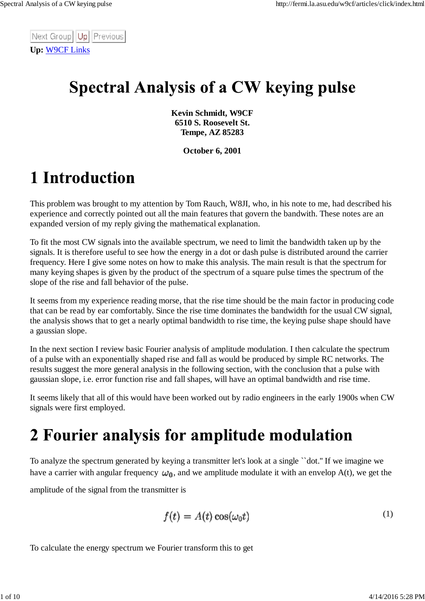Next Group | Up | Previous **Up:** W9CF Links

## **Spectral Analysis of a CW keying pulse**

**Kevin Schmidt, W9CF 6510 S. Roosevelt St. Tempe, AZ 85283**

**October 6, 2001**

# 1 Introduction

This problem was brought to my attention by Tom Rauch, W8JI, who, in his note to me, had described his experience and correctly pointed out all the main features that govern the bandwith. These notes are an expanded version of my reply giving the mathematical explanation.

To fit the most CW signals into the available spectrum, we need to limit the bandwidth taken up by the signals. It is therefore useful to see how the energy in a dot or dash pulse is distributed around the carrier frequency. Here I give some notes on how to make this analysis. The main result is that the spectrum for many keying shapes is given by the product of the spectrum of a square pulse times the spectrum of the slope of the rise and fall behavior of the pulse.

It seems from my experience reading morse, that the rise time should be the main factor in producing code that can be read by ear comfortably. Since the rise time dominates the bandwidth for the usual CW signal, the analysis shows that to get a nearly optimal bandwidth to rise time, the keying pulse shape should have a gaussian slope.

In the next section I review basic Fourier analysis of amplitude modulation. I then calculate the spectrum of a pulse with an exponentially shaped rise and fall as would be produced by simple RC networks. The results suggest the more general analysis in the following section, with the conclusion that a pulse with gaussian slope, i.e. error function rise and fall shapes, will have an optimal bandwidth and rise time.

It seems likely that all of this would have been worked out by radio engineers in the early 1900s when CW signals were first employed.

# 2 Fourier analysis for amplitude modulation

To analyze the spectrum generated by keying a transmitter let's look at a single ``dot.'' If we imagine we have a carrier with angular frequency  $\omega_0$ , and we amplitude modulate it with an envelop A(t), we get the

amplitude of the signal from the transmitter is

$$
f(t) = A(t) \cos(\omega_0 t) \tag{1}
$$

To calculate the energy spectrum we Fourier transform this to get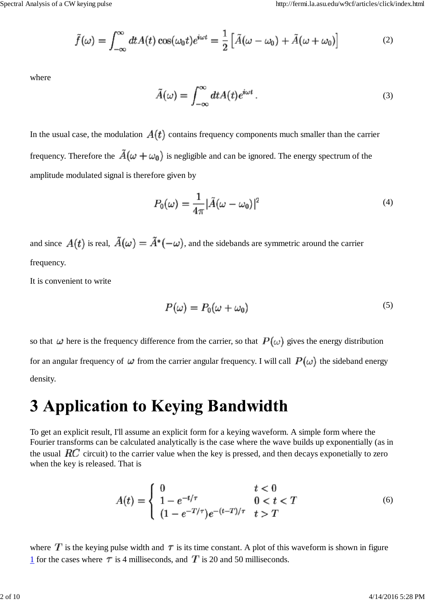$$
\tilde{f}(\omega) = \int_{-\infty}^{\infty} dt A(t) \cos(\omega_0 t) e^{i\omega t} = \frac{1}{2} \left[ \tilde{A}(\omega - \omega_0) + \tilde{A}(\omega + \omega_0) \right]
$$
(2)

where

$$
\tilde{A}(\omega) = \int_{-\infty}^{\infty} dt A(t) e^{i\omega t} . \tag{3}
$$

In the usual case, the modulation  $A(t)$  contains frequency components much smaller than the carrier frequency. Therefore the  $\tilde{A}(\omega + \omega_0)$  is negligible and can be ignored. The energy spectrum of the amplitude modulated signal is therefore given by

$$
P_0(\omega) = \frac{1}{4\pi} |\tilde{A}(\omega - \omega_0)|^2
$$
\n(4)

and since  $A(t)$  is real,  $\tilde{A}(\omega) = \tilde{A}^*(-\omega)$ , and the sidebands are symmetric around the carrier frequency.

It is convenient to write

$$
P(\omega) = P_0(\omega + \omega_0) \tag{5}
$$

so that  $\omega$  here is the frequency difference from the carrier, so that  $P(\omega)$  gives the energy distribution for an angular frequency of  $\omega$  from the carrier angular frequency. I will call  $P(\omega)$  the sideband energy density.

#### **3 Application to Keying Bandwidth**

To get an explicit result, I'll assume an explicit form for a keying waveform. A simple form where the Fourier transforms can be calculated analytically is the case where the wave builds up exponentially (as in the usual  $RC$  circuit) to the carrier value when the key is pressed, and then decays exponetially to zero when the key is released. That is

$$
A(t) = \begin{cases} 0 & t < 0\\ 1 - e^{-t/\tau} & 0 < t < T\\ (1 - e^{-T/\tau})e^{-(t-T)/\tau} & t > T \end{cases}
$$
(6)

where  $T$  is the keying pulse width and  $\tau$  is its time constant. A plot of this waveform is shown in figure 1 for the cases where  $\tau$  is 4 milliseconds, and  $T$  is 20 and 50 milliseconds.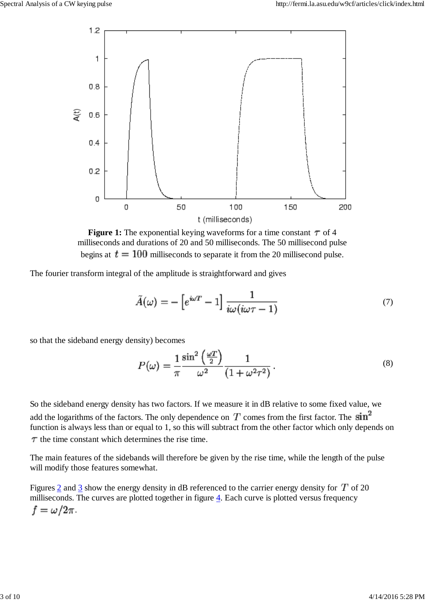

**Figure 1:** The exponential keying waveforms for a time constant  $\tau$  of 4 milliseconds and durations of 20 and 50 milliseconds. The 50 millisecond pulse begins at  $t = 100$  milliseconds to separate it from the 20 millisecond pulse.

The fourier transform integral of the amplitude is straightforward and gives

$$
\tilde{A}(\omega) = -\left[e^{i\omega T} - 1\right] \frac{1}{i\omega(i\omega \tau - 1)}\tag{7}
$$

so that the sideband energy density) becomes

$$
P(\omega) = \frac{1}{\pi} \frac{\sin^2\left(\frac{\omega T}{2}\right)}{\omega^2} \frac{1}{(1 + \omega^2 \tau^2)}.
$$
\n(8)

So the sideband energy density has two factors. If we measure it in dB relative to some fixed value, we add the logarithms of the factors. The only dependence on  $T$  comes from the first factor. The  $\sin^2$ function is always less than or equal to 1, so this will subtract from the other factor which only depends on  $\tau$  the time constant which determines the rise time.

The main features of the sidebands will therefore be given by the rise time, while the length of the pulse will modify those features somewhat.

Figures  $\frac{2}{3}$  and  $\frac{3}{3}$  show the energy density in dB referenced to the carrier energy density for  $T$  of 20 milliseconds. The curves are plotted together in figure 4. Each curve is plotted versus frequency  $f = \omega/2\pi$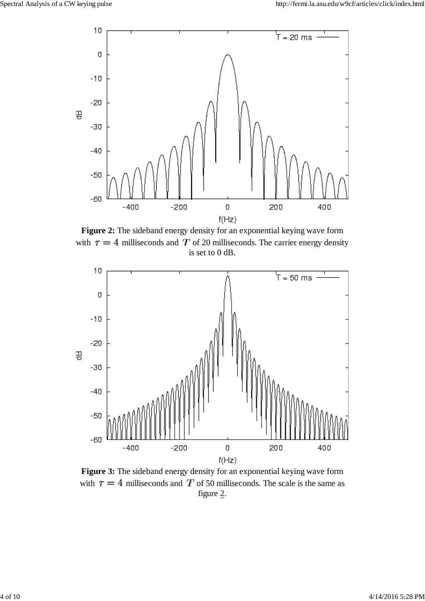

**Figure 2:** The sideband energy density for an exponential keying wave form with  $\tau = 4$  milliseconds and T of 20 milliseconds. The carrier energy density is set to 0 dB.



**Figure 3:** The sideband energy density for an exponential keying wave form with  $\tau = 4$  milliseconds and T of 50 milliseconds. The scale is the same as figure 2.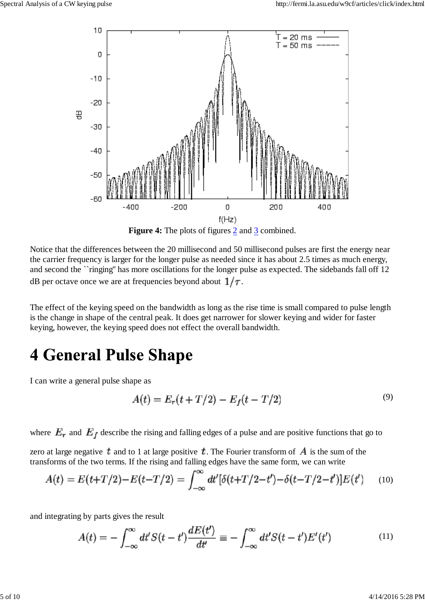

Notice that the differences between the 20 millisecond and 50 millisecond pulses are first the energy near

the carrier frequency is larger for the longer pulse as needed since it has about 2.5 times as much energy, and second the ``ringing'' has more oscillations for the longer pulse as expected. The sidebands fall off 12 dB per octave once we are at frequencies beyond about  $1/\tau$ .

The effect of the keying speed on the bandwidth as long as the rise time is small compared to pulse length is the change in shape of the central peak. It does get narrower for slower keying and wider for faster keying, however, the keying speed does not effect the overall bandwidth.

### **4 General Pulse Shape**

I can write a general pulse shape as

$$
A(t) = E_r(t + T/2) - E_f(t - T/2)
$$
\n(9)

where  $E_r$  and  $E_f$  describe the rising and falling edges of a pulse and are positive functions that go to

zero at large negative t and to 1 at large positive t. The Fourier transform of  $\bm{A}$  is the sum of the transforms of the two terms. If the rising and falling edges have the same form, we can write

$$
A(t) = E(t+T/2) - E(t-T/2) = \int_{-\infty}^{\infty} dt' [\delta(t+T/2-t') - \delta(t-T/2-t')] E(t') \tag{10}
$$

and integrating by parts gives the result

$$
A(t) = -\int_{-\infty}^{\infty} dt' S(t - t') \frac{dE(t')}{dt'} = -\int_{-\infty}^{\infty} dt' S(t - t') E'(t')
$$
(11)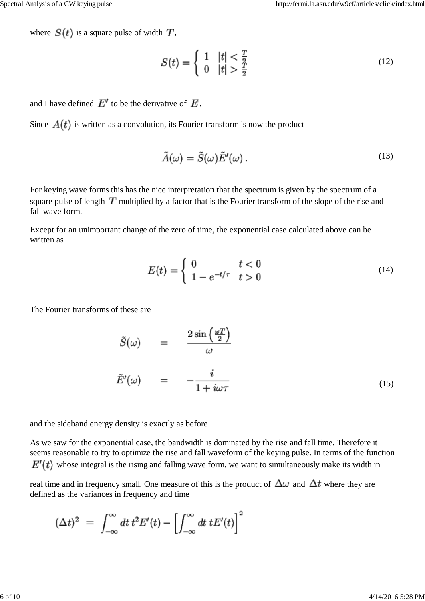where  $S(t)$  is a square pulse of width  $T$ ,

$$
S(t) = \begin{cases} 1 & |t| < \frac{T}{2} \\ 0 & |t| > \frac{T}{2} \end{cases} \tag{12}
$$

and I have defined  $E'$  to be the derivative of  $E$ .

Since  $A(t)$  is written as a convolution, its Fourier transform is now the product

$$
\tilde{A}(\omega) = \tilde{S}(\omega)\tilde{E}'(\omega). \tag{13}
$$

For keying wave forms this has the nice interpretation that the spectrum is given by the spectrum of a square pulse of length  $T$  multiplied by a factor that is the Fourier transform of the slope of the rise and fall wave form.

Except for an unimportant change of the zero of time, the exponential case calculated above can be written as

$$
E(t) = \begin{cases} 0 & t < 0 \\ 1 - e^{-t/\tau} & t > 0 \end{cases} \tag{14}
$$

The Fourier transforms of these are

$$
\tilde{S}(\omega) = \frac{2 \sin\left(\frac{\omega T}{2}\right)}{\omega}
$$
\n
$$
\tilde{E}'(\omega) = -\frac{i}{1 + i\omega \tau}
$$
\n(15)

and the sideband energy density is exactly as before.

As we saw for the exponential case, the bandwidth is dominated by the rise and fall time. Therefore it seems reasonable to try to optimize the rise and fall waveform of the keying pulse. In terms of the function  $E'(t)$  whose integral is the rising and falling wave form, we want to simultaneously make its width in

real time and in frequency small. One measure of this is the product of  $\Delta\omega$  and  $\Delta t$  where they are defined as the variances in frequency and time

$$
(\Delta t)^2 = \int_{-\infty}^{\infty} dt \, t^2 E'(t) - \left[ \int_{-\infty}^{\infty} dt \, t E'(t) \right]^2
$$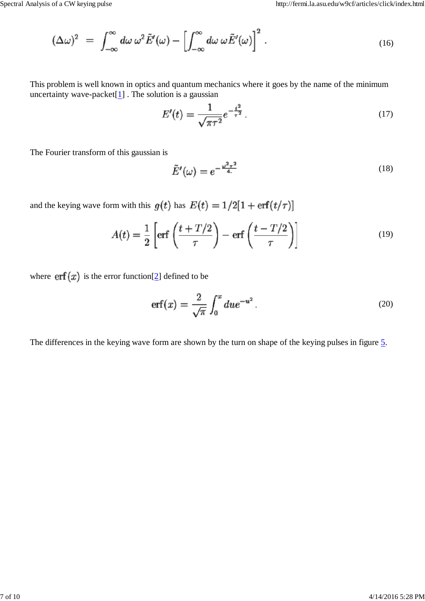$$
(\Delta \omega)^2 = \int_{-\infty}^{\infty} d\omega \, \omega^2 \tilde{E}'(\omega) - \left[ \int_{-\infty}^{\infty} d\omega \, \omega \tilde{E}'(\omega) \right]^2. \tag{16}
$$

This problem is well known in optics and quantum mechanics where it goes by the name of the minimum uncertainty wave-packet $[1]$ . The solution is a gaussian

$$
E'(t) = \frac{1}{\sqrt{\pi \tau^2}} e^{-\frac{t^2}{\tau^2}}.
$$
\n(17)

The Fourier transform of this gaussian is

$$
\tilde{E}'(\omega) = e^{-\frac{\omega^2 \tau^2}{4}} \tag{18}
$$

and the keying wave form with this  $g(t)$  has  $E(t) = 1/2[1 + \text{erf}(t/\tau)]$ 

$$
A(t) = \frac{1}{2} \left[ erf \left( \frac{t + T/2}{\tau} \right) - erf \left( \frac{t - T/2}{\tau} \right) \right]
$$
(19)

where  $\text{erf}(x)$  is the error function[2] defined to be

$$
\operatorname{erf}(x) = \frac{2}{\sqrt{\pi}} \int_0^x du e^{-u^2} \,. \tag{20}
$$

The differences in the keying wave form are shown by the turn on shape of the keying pulses in figure 5.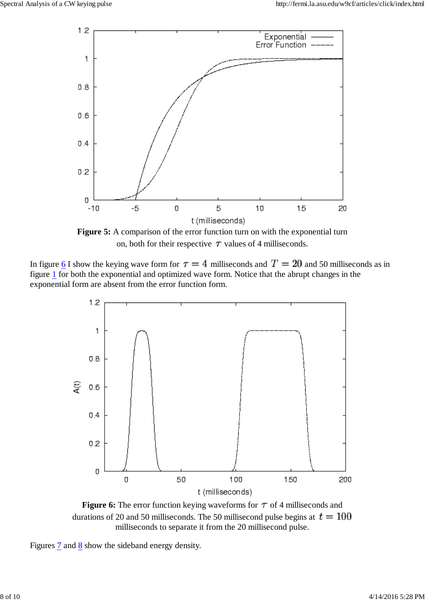

**Figure 5:** A comparison of the error function turn on with the exponential turn on, both for their respective  $\tau$  values of 4 milliseconds.

In figure 6 I show the keying wave form for  $\tau = 4$  milliseconds and  $T = 20$  and 50 milliseconds as in figure 1 for both the exponential and optimized wave form. Notice that the abrupt changes in the exponential form are absent from the error function form.



**Figure 6:** The error function keying waveforms for  $\tau$  of 4 milliseconds and durations of 20 and 50 milliseconds. The 50 millisecond pulse begins at  $t = 100$ milliseconds to separate it from the 20 millisecond pulse.

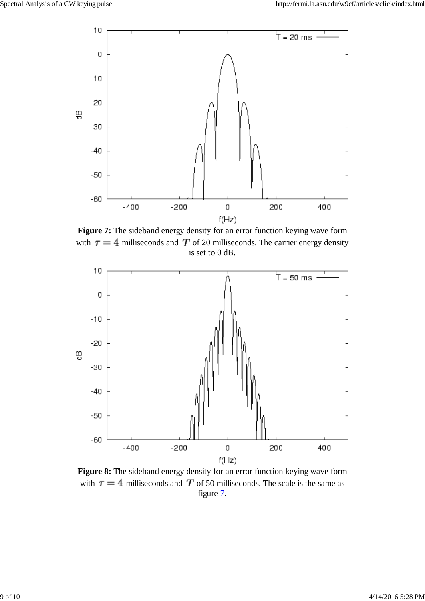

**Figure 7:** The sideband energy density for an error function keying wave form with  $\tau = 4$  milliseconds and T of 20 milliseconds. The carrier energy density is set to 0 dB.



**Figure 8:** The sideband energy density for an error function keying wave form with  $\tau = 4$  milliseconds and T of 50 milliseconds. The scale is the same as figure  $\overline{2}$ .